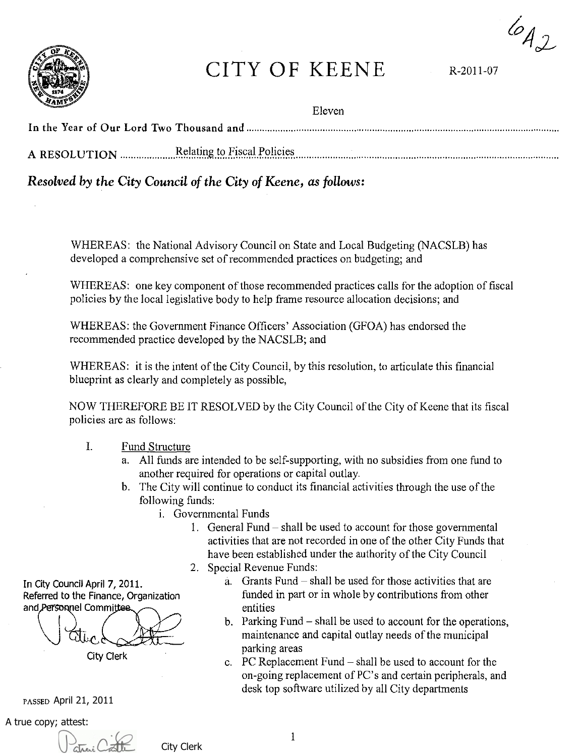$642$ 



# CITY OF KEENE R-2011-07

Eleven

| A RESOLUTION Elating to Fiscal Policies |
|-----------------------------------------|

## *Resolved by the City Council of the City of Keene,* as *follows:*

WHEREAS: the National Advisory Council on State and Local Budgeting (NACSLB) has developed a comprehensive set of recommended practices on budgeting; and

WHEREAS: one key component of those recommended practices calls for the adoption of fiscal policies by the local legislative body to help frame resource allocation decisions; and

WHEREAS: the Government Finance Officers' Association (GFOA) has endorsed the recommended practice developed by the NACSLB; and

WHEREAS: it is the intent of the City Council, by this resolution, to articulate this financial blueprint as clearly and completely as possible,

NOW THEREFORE BE IT RESOLVED by the City Council of the City of Keene that its fiscal policies are as follows:

- 1. Fund Structure
	- a. All funds are intended to be self-supporting, with no subsidies from one fund to another required for operations or capital outlay.
	- b. The City will continue to conduct its financial activities through the use of the following funds:
		- i. Governmental Funds
			- I. General Fund shall be used to account for those governmental activities that are not recorded in one of the other City Funds that have been established under the authority of the City Council
			- 2. Special Revenue Funds:
- In City Council April 7, 2011.  $\alpha$ . Grants Fund shall be used for those activities that are funded in part or in whole by contributions from other entities
	- b. Parking Fund shall be used to account for the operations, maintenance and capital outlay needs of the municipal parking areas
	- c. PC Replacement Fund shall be used to account for the on-going replacement of PC's and certain peripherals, and desk top software utilized by all City departments

Referred to the Finance, Organization and Personnel Committee

 $\sqrt{2\pi\epsilon}$ 

PASSED April 21, 2011

A true copy; attest:



City Clerk

I

City Clerk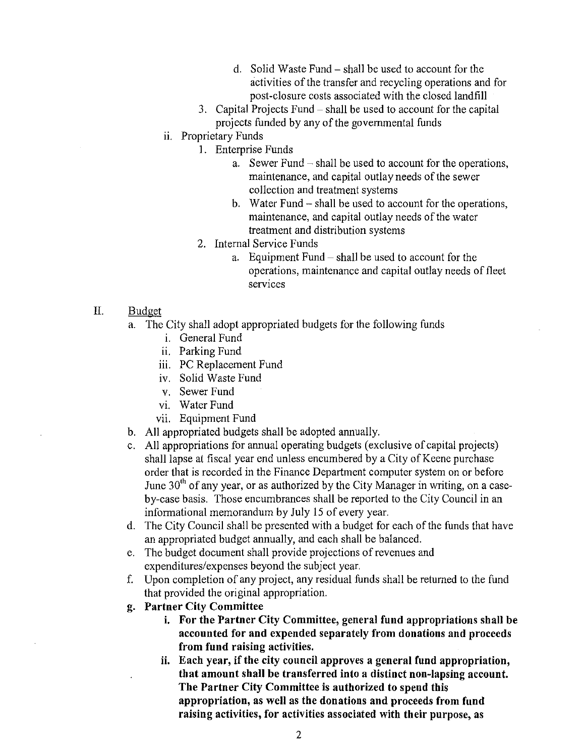- d. Solid Waste Fund shall be used to account for the activities of the transfer and recycling operations and for post-closure costs associated with the closed landfill
- 3. Capital Projects Fund shall be used to account for the capital projects funded by any of the governmental funds
- ii. Proprietary Funds
	- 1. Enterprise Funds
		- a. Sewer Fund shall be used to account for the operations, maintenance, and capital outlay needs of the sewer collection and treatment systems
		- b. Water Fund shall be used to account for the operations, maintenance, and capital outlay needs of the water treatment and distribution systems
	- 2. Internal Service Funds
		- a. Equipment Fund shall be used to account for the operations, maintenance and capital outlay needs of fleet services
- II. Budget
	- a. The City shall adopt appropriated budgets for the following funds
		- i. General Fund
		- ii. Parking Fund
		- iii. PC Replacement Fund
		- iv. Solid Waste Fund
		- v. Sewer Fund
		- vi. Water Fund
		- vii. Equipment Fund
	- b. All appropriated budgets shall be adopted annually.
	- c. All appropriations for annual operating budgets (exclusive of capital projects) shall lapse at fiscal year end unless encumbered by a City of Keene purchase order that is recorded in the Finance Department computer system on or before June  $30<sup>th</sup>$  of any year, or as authorized by the City Manager in writing, on a caseby-case basis. Those encumbrances shall be reported to the City Council in an informational memorandum by July 15 of every year.
	- d. The City Council shall be presented with a budget for each of the funds that have an appropriated budget annually, and each shall be balanced.
	- e. The budget document shall provide projections of revenues and expenditures/expenses beyond the subject year.
	- f. Upon completion of any project, any residual funds shall be returned to the fund that provided the original appropriation.
	- **g. Partner City Committee** 
		- **i. For the Partner City Committee, general fund appropriations shall be acconnted for and expended separately from donations and proceeds from fund raising activities.**
		- **ii. Each year, if the city** council **approves a general fund appropriation, that amount shall be transferred into a distinct non-lapsing account. The Partner City Committee is authorized to spend this appropriation, as well as the donations and proceeds from fund raising activities, for activities associated with their purpose, as**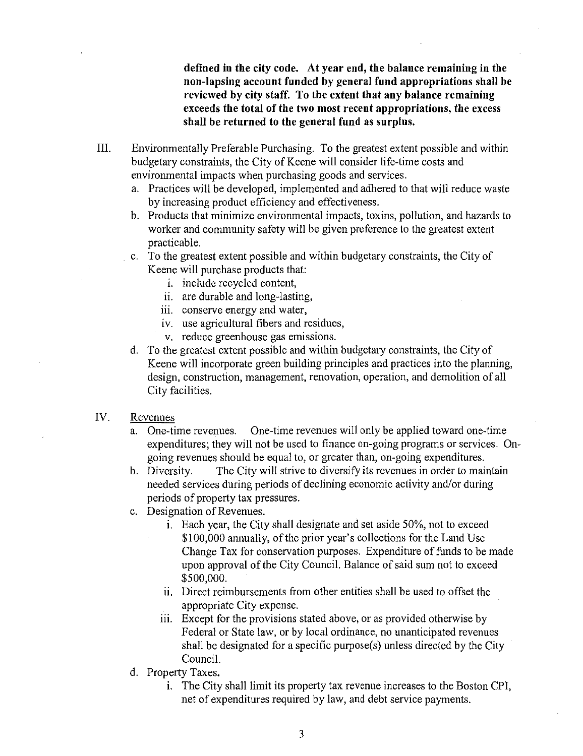defined in the city code. At year end, the balance remaining in the non-lapsing account funded by general fund appropriations shall be reviewed by city staff. To the extent that any balance remaining exceeds the total of the two most recent appropriations, the excess shall be returned to the general fund as surplus.

- III. Environmentally Preferable Purchasing. To the greatest extent possible and within budgetary constraints, the City of Keene will consider life-time costs and environmental impacts when purchasing goods and services.
	- a. Practices will be developed, implemented and adhered to that will reduce waste by increasing product efficiency and effectiveness.
	- b. Products that minimize environmental impacts, toxins, pollution, and hazards to worker and community safety will be given preference to the greatest extent practicable.
	- c. To the greatest extent possible and within budgetary constraints, the City of Keene will purchase products that:
		- 1. include recycled content,
		- ii. are durable and long-lasting,
		- iii. conserve energy and water,
		- iv. use agricultural fibers and residues,
		- v. reduce greenhouse gas emissions.
	- d. To the greatest extent possible and within budgetary constraints, the City of Keene will incorporate green building principles and practices into the planning, design, construction, management, renovation, operation, and demolition of all City facilities.

#### IV. Revenues

- a. One-time revenues. One-time revenues will only be applied toward one-time expenditures; they will not be used to finance on-going programs or services. Ongoing revenues should be equal to, or greater than, on-going expenditures.
- b. Diversity. The City will strive to diversify its revenues in order to maintain needed services during periods of declining economic activity and/or during periods of property tax pressures.
- c. Designation of Revenues.
	- 1. Each year, the City shall designate and set aside 50%, not to exceed \$100,000 annually, of the prior year's collections for the Land Use Change Tax for conservation purposes. Expenditure of funds to be made upon approval of the City Council. Balance of said sum not to exceed \$500,000.
	- ii. Direct reimbursements from other entities shall be used to offset the appropriate City expense.
	- iii. Except for the provisions stated above, or as provided otherwise by Federal or State law, or by local ordinance, no unanticipated revenues shall be designated for a specific purpose(s) unless directed by the City Council.
- d. Property Taxes.
	- 1. The City shall limit its property tax revenue increases to the Boston CPI, net of expenditures required by law, and debt service payments.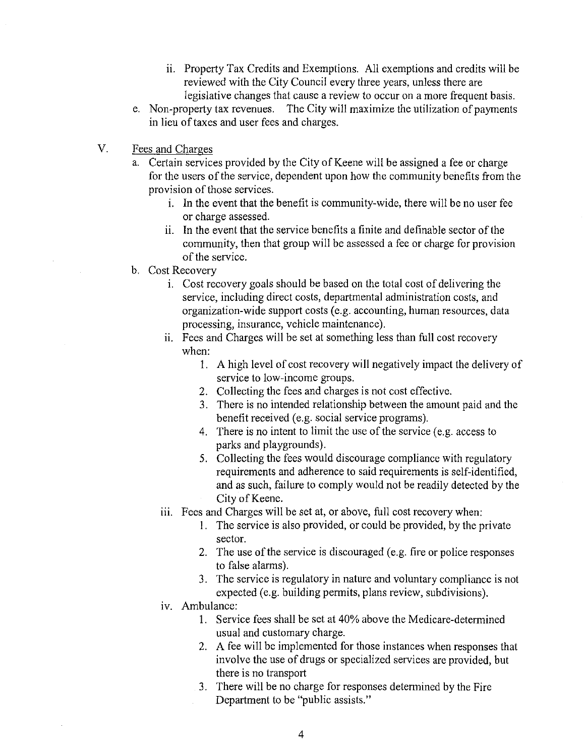- ii. Property Tax Credits and Exemptions. All exemptions and credits will be reviewed with the City Council every three years, unless there are legislative changes that cause a review to occur on a more frequent basis.
- e. Non-property tax revenues. The City will maximize the utilization of payments in lieu of taxes and user fees and charges.
- V. Fees and Charges
	- a. Certain services provided by the City of Keene will be assigned a fee or charge for the users of the service, dependent upon how the community benefits from the provision of those services.
		- 1. In the event that the benefit is community-wide, there will be no user fee or charge assessed.
		- i. In the event that the service benefits a finite and definable sector of the community, then that group will be assessed a fee or charge for provision of the service.
	- b. Cost Recovery
		- 1. Cost recovery goals should be based on the total cost of delivering the service, including direct costs, departmental administration costs, and organization-wide support costs (e.g. accounting, human resources, data processing, insurance, vehicle maintenance).
		- ii. Fees and Charges will be set at something less than full cost recovery when:
			- I. A high level of cost recovery will negatively impact the delivery of service to low-income groups.
			- 2. Collecting the fees and charges is not cost effective.
			- 3. There is no intended relationship between the amount paid and the benefit received (e.g. social service programs).
			- 4. There is no intent to limit the use of the service (e.g. access to parks and playgrounds).
			- 5. Collecting the fees would discourage compliance with regulatory requirements and adherence to said requirements is self-identified, and as such, failure to comply would not be readily detected by the City of Keene.
		- iii. Fees and Charges will be set at, or above, full cost recovery when:
			- 1. The service is also provided, or could be provided, by the private sector.
			- 2. The use of the service is discouraged (e.g. fire or police responses to false alarms).
			- 3. The service is regulatory in nature and voluntary compliance is not expected (e.g. building permits, plans review, subdivisions).
		- iv. Ambulance:
			- I. Service fees shall be set at 40% above the Medicare-determined usual and customary charge.
			- 2. A fee will be implemented for those instances when responses that involve the use of drugs or specialized services are provided, but there is no transport
			- 3. There will be no charge for responses determined by the Fire Department to be "public assists."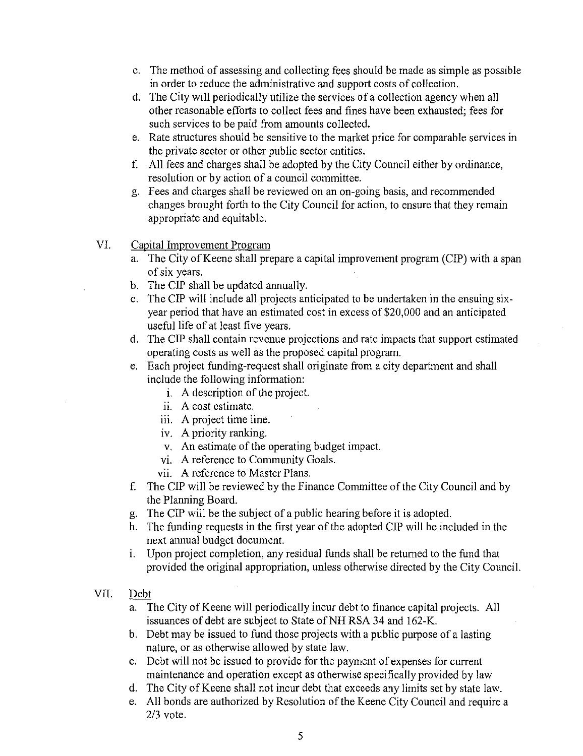- c. The method of assessing and collecting fees should be made as simple as possible in order to reduce the administrative and support costs of collection.
- d. The City will periodically utilize the services of a collection agency when all other reasonable efforts to collect fees and fines have been exhausted; fees for such services to be paid from amounts collected.
- e. Rate structures should be sensitive to the market price for comparable services in the private sector or other public sector entities.
- f. All fees and charges shall be adopted by the City Council either by ordinance, resolution or by action of a council committee.
- g. Fees and charges shall be reviewed on an on-going basis, and recommended changes brought forth to the City Council for action, to ensure that they remain appropriate and equitable.
- VI. Capital Improvement Program
	- a. The City of Keene shall prepare a capital improvement program (CIP) with a span of six years.
	- b. The CIP shall be updated annually.
	- c. The CIP will include all projects anticipated to be undertaken in the ensuing sixyear period that have an estimated cost in excess of \$20,000 and an anticipated useful life of at least five years.
	- d. The CIP shall contain revenue projections and rate impacts that support estimated operating costs as well as the proposed capital program.
	- e. Each project funding-request shall originate from a city department and shall include the following information:
		- i. A description of the project.
		- ii. A cost estimate.
		- iii. A project time line.
		- iv. A priority ranking.
		- v. An estimate of the operating budget impact.
		- VI. A reference to Community Goals.
		- vii. A reference to Master Plans.
	- f. The CIP will be reviewed by the Finance Committee of the City Council and by the Planning Board.
	- g. The CIP will be the subject of a public hearing before it is adopted.
	- h. The funding requests in the first year of the adopted CIP will be included in the next annual budget document.
	- i. Upon project completion, any residual funds shall be returned to the fund that provided the original appropriation, unless otherwise directed by the City Council.

#### VII. Debt

- a. The City of Keene will periodically incur debt to finance capital projects. All issuances of debt are subject to State of NH RSA 34 and 162-K.
- b. Debt may be issued to fund those projects with a public purpose of a lasting nature, or as otherwise allowed by state law.
- c. Debt will not be issued to provide for the payment of expenses for current maintenance and operation except as otherwise specifically provided by law
- d. The City of Keene shall not incur debt that exceeds any limits set by state law.
- e. All bonds are authorized by Resolution of the Keene City Council and require a 2/3 vote.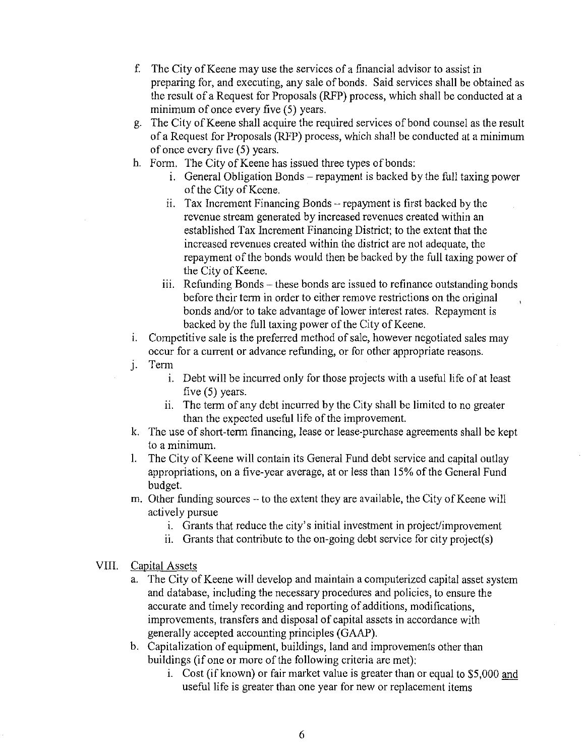- f. The City of Keene may use the services of a financial advisor to assist in preparing for, and executing, any sale of bonds. Said services shall be obtained as the result of a Request for Proposals (RFP) process, which shall be conducted at a minimum of once every five (5) years.
- g. The City of Keene shall acquire the required services of bond counsel as the result of a Request for Proposals (RFP) process, which shall be conducted at a minimum of once every five (5) years.
- h. Form. The City of Keene has issued three types of bonds:
	- 1. General Obligation Bonds repayment is backed by the full taxing power of the City of Keene.
	- ii. Tax Increment Financing Bonds repayment is first backed by the revenue stream generated by increased revenues created within an established Tax Increment Financing District; to the extent that the increased revenues created within the district are not adequate, the repayment of the bonds would then be backed by the full taxing power of the City of Keene.
	- ill. Refunding Bonds these bonds are issued to refinance outstanding bonds before their term in order to either remove restrictions on the original bonds and/or to take advantage of lower interest rates. Repayment is backed by the full taxing power of the City of Keene.
- 1. Competitive sale is the preferred method of sale, however negotiated sales may occur for a current or advance refunding, or for other appropriate reasons.
- j. Term
	- 1. Debt will be incurred only for those projects with a useful life of at least five (5) years.
	- i. The term of any debt incurred by the City shall be limited to no greater than the expected useful life of the improvement.
- k. The use of short-term financing, lease or lease·purchase agreements shall be kept to a minimum.
- 1. The City of Keene will contain its General Fund debt service and capital outlay appropriations, on a five-year average, at or less than 15% of the General Fund budget.
- m. Other funding sources -- to the extent they are available, the City of Keene will actively pursue
	- i. Grants that reduce the city's initial investment in project/improvement
	- ii. Grants that contribute to the on-going debt service for city project(s)

### VIII. Capital Assets

- a. The City of Keene will develop and maintain a computerized capital asset system and database, including the necessary procedures and policies, to ensure the accurate and timely recording and reporting of additions, modifications, improvements, transfers and disposal of capital assets in accordance with generally accepted accounting principles (GAAP).
- b. Capitalization of equipment, buildings, land and improvements other than buildings (if one or more of the following criteria are met):
	- 1. Cost (if known) or fair market value is greater than or equal to \$5,000 and useful life is greater than one year for new or replacement items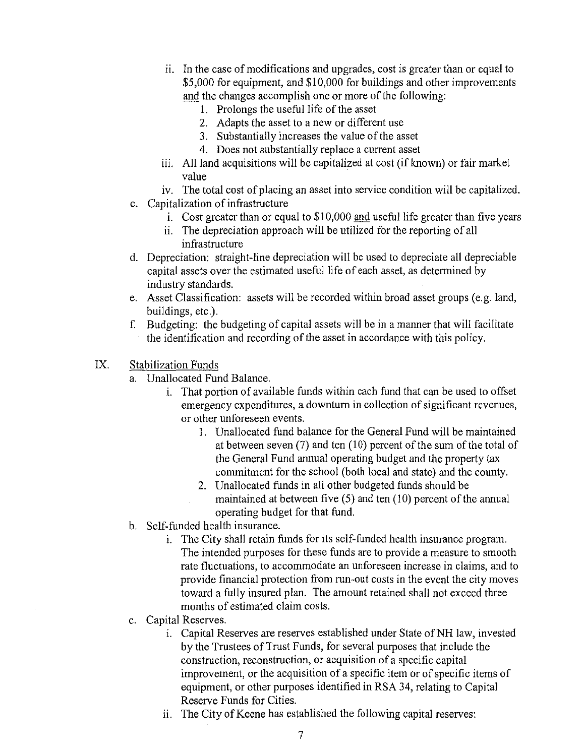- $\overline{\text{ii}}$ . In the case of modifications and upgrades, cost is greater than or equal to \$5,000 for equipment, and \$10,000 for buildings and other improvements and the changes accomplish one or more of the following:
	- 1. Prolongs the useful life of the asset
	- 2. Adapts the asset to a new or different use
	- 3. Substantially increases the value of the asset
	- 4. Does not substantially replace a current asset
- iii. All land acquisitions will be capitalized at cost (if known) or fair market value
- iv. The total cost of placing an asset into service condition will be capitalized.
- c. Capitalization of infrastructure
	- i. Cost greater than or equal to \$10,000 and useful life greater than five years
	- ii. The depreciation approach will be utilized for the reporting of all infrastructure
- d. Depreciation: straight-line depreciation will be used to depreciate all depreciable capital assets over the estimated useful life of each asset, as determined by industry standards.
- e. Asset Classification: assets will be recorded within broad asset groups (e.g. land, buildings, etc.).
- f. Budgeting: the budgeting of capital assets will be in a manner that will facilitate the identification and recording of the asset in accordance with this policy.
- IX. Stabilization Funds
	- a. Unallocated Fund Balance.
		- i. That portion of available funds within each fund that can be used to offset emergency expenditures, a downturn in collection of significant revenues, or other unforeseen events.
			- 1. Unallocated fund balance for the General Fund will be maintained at between seven  $(7)$  and ten  $(10)$  percent of the sum of the total of the General Fund annual operating budget and the property tax commitment for the school (both local and state) and the county.
			- 2. Unallocated funds in all other budgeted funds should be maintained at between five (5) and ten (10) percent of the annual operating budget for that fund.
	- b. Self-funded health insurance.
		- 1. The City shall retain funds for its self-funded health insurance program. The intended purposes for these funds are to provide a measure to smooth rate fluctuations, to accommodate an unforeseen increase in claims, and to provide financial protection from run-out costs in the event the city moves toward a fully insured plan. The amount retained shall not exceed three months of estimated claim costs.
	- c. Capital Reserves.
		- 1. Capital Reserves are reserves established under State of NH law, invested by the Trustees of Trust Funds, for several purposes that include the construction, reconstruction, or acquisition of a specific capital improvement, or the acquisition of a specific item or of specific items of equipment, or other purposes identified in RSA 34, relating to Capital Reserve Funds for Cities.
		- i. The City of Keene has established the following capital reserves: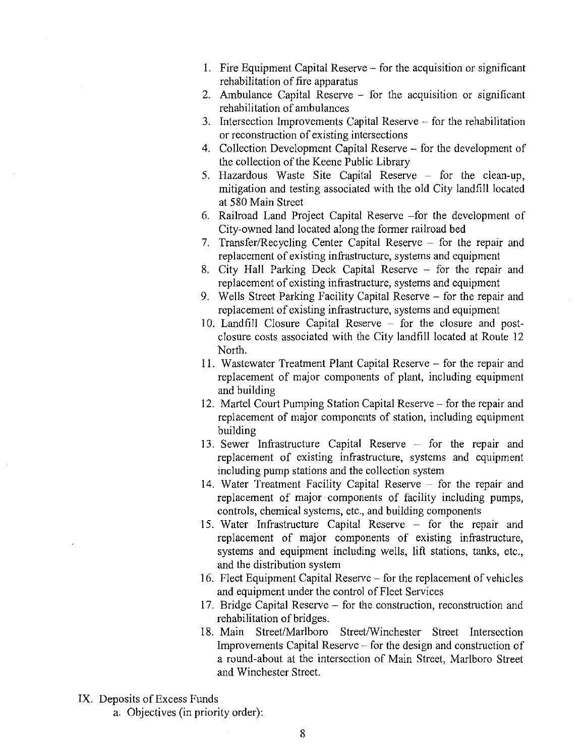- 1. Fire Equipment Capital Reserve for the acquisition or significant rehabilitation of fire apparatus
- 2. Ambulance Capital Reserve for the acquisition or significant rehabilitation of ambulances
- 3. Intersection Improvements Capital Reserve  $-$  for the rehabilitation or reconstruction of existing intersections
- 4. Collection Development Capital Reserve for the development of the collection of the Keene Public Library
- 5. Hazardous Waste Site Capital Reserve for the clean-up, mitigation and testing associated with the old City landfill located at 580 Main Street
- 6. Railroad Land Project Capital Reserve -for the development of City-owned land located along the former railroad bed
- 7. Transfer/Recycling Center Capital Reserve for the repair and replacement of existing infrastructure, systems and equipment
- 8. City Hall Parking Deck Capital Reserve for the repair and replacement of existing infrastructure, systems and equipment
- 9. Wells Street Parking Facility Capital Reserve for the repair and replacement of existing infrastructure, systems and equipment
- 10. Landfill Closure Capital Reserve for the closure and postclosure costs associated with the City landfill located at Route 12 North.
- II. Wastewater Treatment Plant Capital Reserve for the repair and replacement of major components of plant, including equipment and building
- 12. Martel Court Pumping Station Capital Reserve for the repair and replacement of major components of station, including equipment building
- 13. Sewer Infrastructure Capital Reserve for the repair and replacement of existing infrastructure, systems and equipment including pump stations and the collection system
- 14. Water Treatment Facility Capital Reserve for the repair and replacement of major components of facility including pumps, controls, chemical systems, etc., and building components
- 15. Water Infrastructure Capital Reserve for the repair and replacement of major components of existing infrastructure, systems and equipment including wells, lift stations, tanks, etc., and the distribution system
- 16. Fleet Equipment Capital Reserve for the replacement of vehicles and equipment under the control of Fleet Services
- 17. Bridge Capital Reserve for the construction, reconstruction and rehabilitation of bridges.
- 18. Main Street/Marlboro Street/Winchester Street Intersection Improvements Capital Reserve - for the design and construction of a round-about at the intersection of Main Street, Marlboro Street and Winchester Street.
- IX. Deposits of Excess Funds
	- a. Objectives (in priority order):